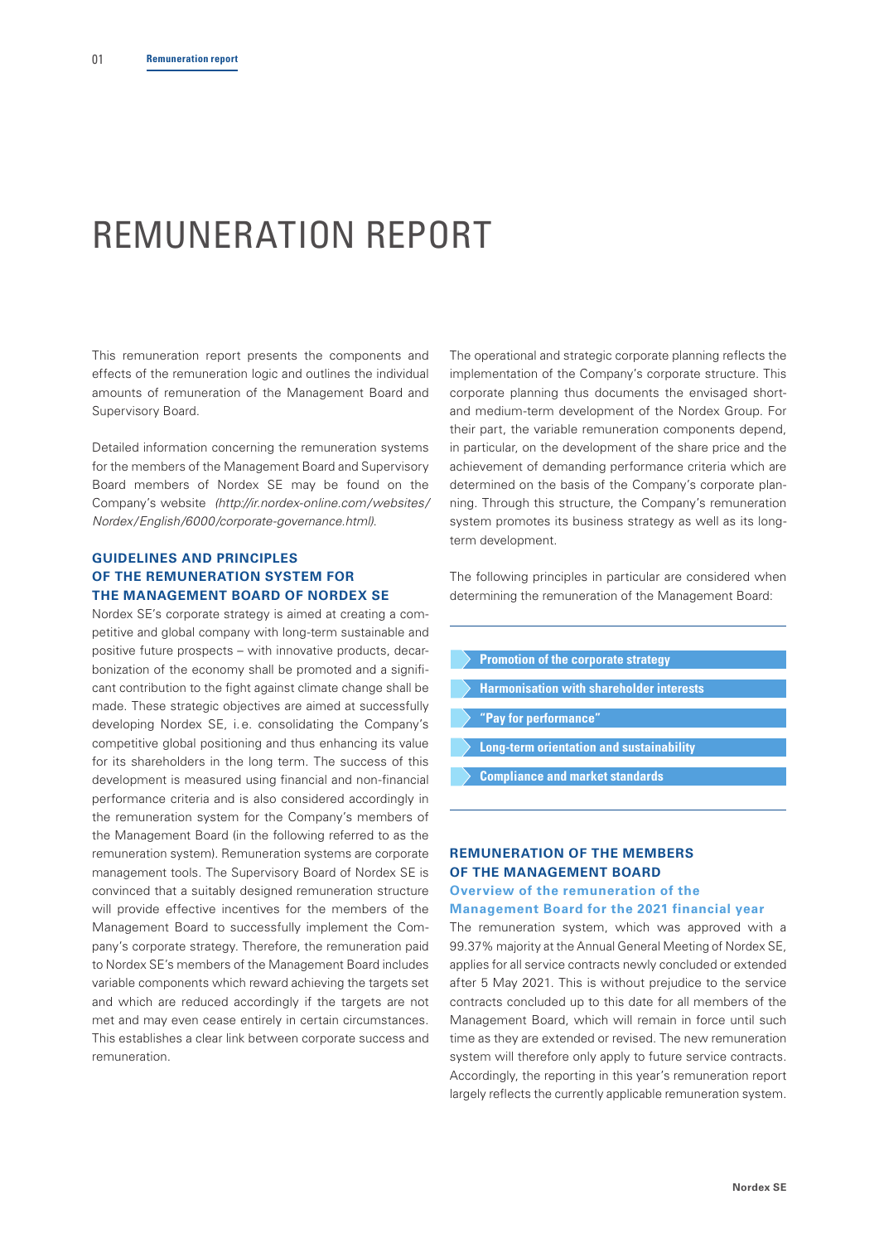# REMUNERATION REPORT

This remuneration report presents the components and effects of the remuneration logic and outlines the individual amounts of remuneration of the Management Board and Supervisory Board.

Detailed information concerning the remuneration systems for the members of the Management Board and Supervisory Board members of Nordex SE may be found on the Company's website *(http://ir.nordex-online.com/websites/ Nordex/English/6000/corporate-governance.html)*.

## **GUIDELINES AND PRINCIPLES OF THE REMUNERATION SYSTEM FOR THE MANAGEMENT BOARD OF NORDEX SE**

Nordex SE's corporate strategy is aimed at creating a competitive and global company with long-term sustainable and positive future prospects – with innovative products, decarbonization of the economy shall be promoted and a significant contribution to the fight against climate change shall be made. These strategic objectives are aimed at successfully developing Nordex SE, i.e. consolidating the Company's competitive global positioning and thus enhancing its value for its shareholders in the long term. The success of this development is measured using financial and non-financial performance criteria and is also considered accordingly in the remuneration system for the Company's members of the Management Board (in the following referred to as the remuneration system). Remuneration systems are corporate management tools. The Supervisory Board of Nordex SE is convinced that a suitably designed remuneration structure will provide effective incentives for the members of the Management Board to successfully implement the Company's corporate strategy. Therefore, the remuneration paid to Nordex SE's members of the Management Board includes variable components which reward achieving the targets set and which are reduced accordingly if the targets are not met and may even cease entirely in certain circumstances. This establishes a clear link between corporate success and remuneration.

The operational and strategic corporate planning reflects the implementation of the Company's corporate structure. This corporate planning thus documents the envisaged shortand medium-term development of the Nordex Group. For their part, the variable remuneration components depend, in particular, on the development of the share price and the achievement of demanding performance criteria which are determined on the basis of the Company's corporate planning. Through this structure, the Company's remuneration system promotes its business strategy as well as its longterm development.

The following principles in particular are considered when determining the remuneration of the Management Board:

- **Promotion of the corporate strategy**
- **Harmonisation with shareholder interests**
- **"Pay for performance"**
- **Long-term orientation and sustainability**
- **Compliance and market standards**

## **REMUNERATION OF THE MEMBERS OF THE MANAGEMENT BOARD Overview of the remuneration of the**

#### **Management Board for the 2021 financial year**

The remuneration system, which was approved with a 99.37% majority at the Annual General Meeting of Nordex SE, applies for all service contracts newly concluded or extended after 5 May 2021. This is without prejudice to the service contracts concluded up to this date for all members of the Management Board, which will remain in force until such time as they are extended or revised. The new remuneration system will therefore only apply to future service contracts. Accordingly, the reporting in this year's remuneration report largely reflects the currently applicable remuneration system.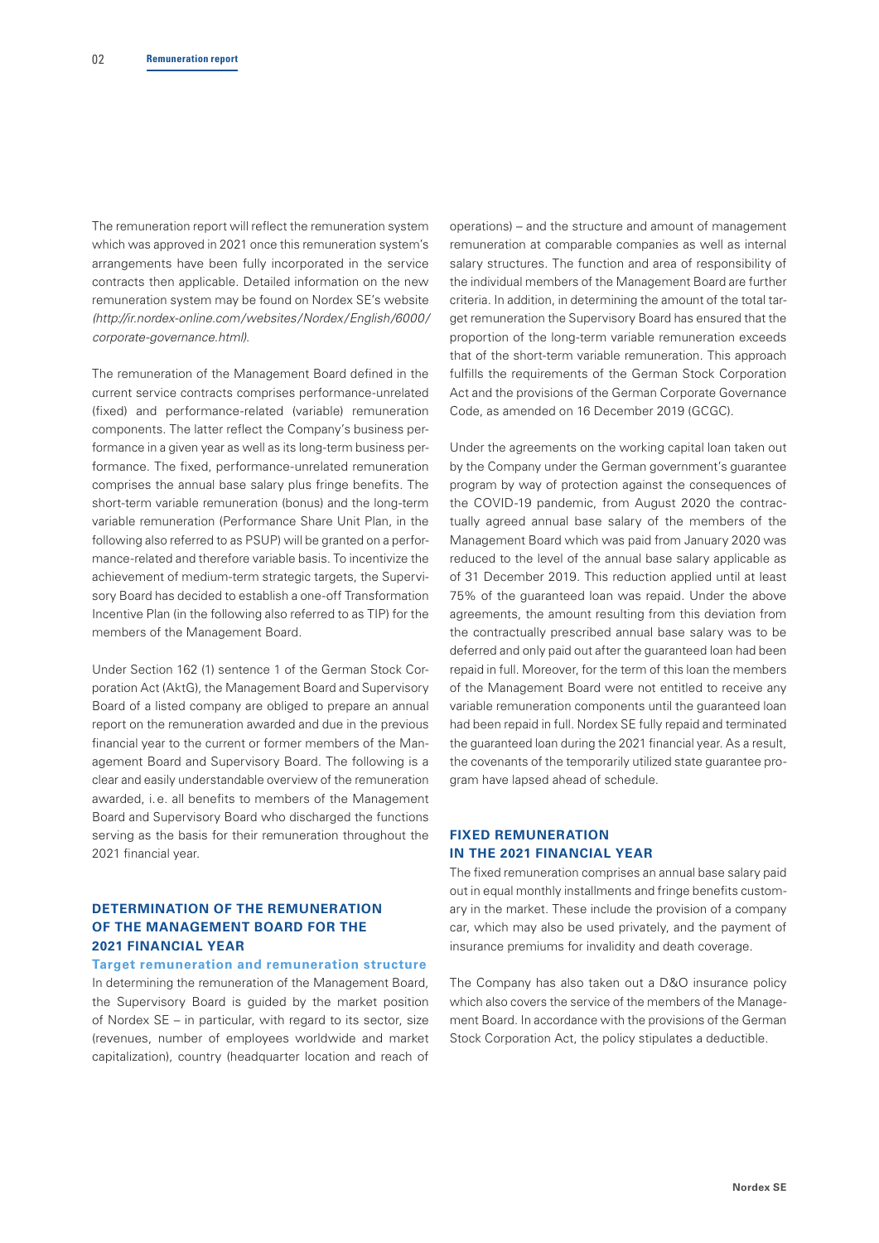The remuneration report will reflect the remuneration system which was approved in 2021 once this remuneration system's arrangements have been fully incorporated in the service contracts then applicable. Detailed information on the new remuneration system may be found on Nordex SE's website *(http://ir.nordex-online.com/websites/Nordex/English/6000/ corporate-governance.html)*.

The remuneration of the Management Board defined in the current service contracts comprises performance-unrelated (fixed) and performance-related (variable) remuneration components. The latter reflect the Company's business performance in a given year as well as its long-term business performance. The fixed, performance-unrelated remuneration comprises the annual base salary plus fringe benefits. The short-term variable remuneration (bonus) and the long-term variable remuneration (Performance Share Unit Plan, in the following also referred to as PSUP) will be granted on a performance-related and therefore variable basis. To incentivize the achievement of medium-term strategic targets, the Supervisory Board has decided to establish a one-off Transformation Incentive Plan (in the following also referred to as TIP) for the members of the Management Board.

Under Section 162 (1) sentence 1 of the German Stock Corporation Act (AktG), the Management Board and Supervisory Board of a listed company are obliged to prepare an annual report on the remuneration awarded and due in the previous financial year to the current or former members of the Management Board and Supervisory Board. The following is a clear and easily understandable overview of the remuneration awarded, i.e. all benefits to members of the Management Board and Supervisory Board who discharged the functions serving as the basis for their remuneration throughout the 2021 financial year.

## **DETERMINATION OF THE REMUNERATION OF THE MANAGEMENT BOARD FOR THE 2021 FINANCIAL YEAR**

**Target remuneration and remuneration structure** In determining the remuneration of the Management Board, the Supervisory Board is guided by the market position of Nordex SE – in particular, with regard to its sector, size (revenues, number of employees worldwide and market capitalization), country (headquarter location and reach of

operations) – and the structure and amount of management remuneration at comparable companies as well as internal salary structures. The function and area of responsibility of the individual members of the Management Board are further criteria. In addition, in determining the amount of the total target remuneration the Supervisory Board has ensured that the proportion of the long-term variable remuneration exceeds that of the short-term variable remuneration. This approach fulfills the requirements of the German Stock Corporation Act and the provisions of the German Corporate Governance Code, as amended on 16 December 2019 (GCGC).

Under the agreements on the working capital loan taken out by the Company under the German government's guarantee program by way of protection against the consequences of the COVID-19 pandemic, from August 2020 the contractually agreed annual base salary of the members of the Management Board which was paid from January 2020 was reduced to the level of the annual base salary applicable as of 31 December 2019. This reduction applied until at least 75% of the guaranteed loan was repaid. Under the above agreements, the amount resulting from this deviation from the contractually prescribed annual base salary was to be deferred and only paid out after the guaranteed loan had been repaid in full. Moreover, for the term of this loan the members of the Management Board were not entitled to receive any variable remuneration components until the guaranteed loan had been repaid in full. Nordex SE fully repaid and terminated the guaranteed loan during the 2021 financial year. As a result, the covenants of the temporarily utilized state guarantee program have lapsed ahead of schedule.

## **FIXED REMUNERATION IN THE 2021 FINANCIAL YEAR**

The fixed remuneration comprises an annual base salary paid out in equal monthly installments and fringe benefits customary in the market. These include the provision of a company car, which may also be used privately, and the payment of insurance premiums for invalidity and death coverage.

The Company has also taken out a D&O insurance policy which also covers the service of the members of the Management Board. In accordance with the provisions of the German Stock Corporation Act, the policy stipulates a deductible.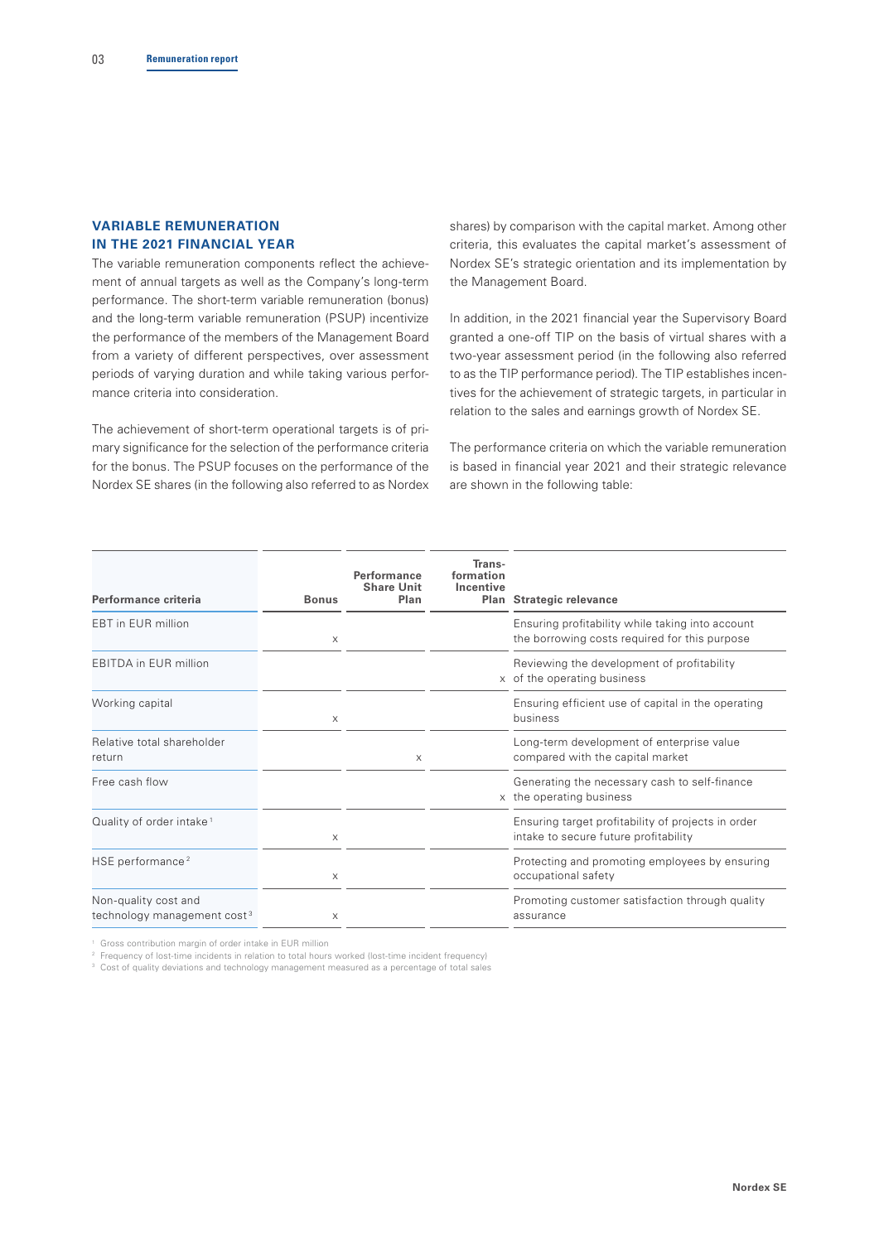## **VARIABLE REMUNERATION IN THE 2021 FINANCIAL YEAR**

The variable remuneration components reflect the achievement of annual targets as well as the Company's long-term performance. The short-term variable remuneration (bonus) and the long-term variable remuneration (PSUP) incentivize the performance of the members of the Management Board from a variety of different perspectives, over assessment periods of varying duration and while taking various performance criteria into consideration.

The achievement of short-term operational targets is of primary significance for the selection of the performance criteria for the bonus. The PSUP focuses on the performance of the Nordex SE shares (in the following also referred to as Nordex shares) by comparison with the capital market. Among other criteria, this evaluates the capital market's assessment of Nordex SE's strategic orientation and its implementation by the Management Board.

In addition, in the 2021 financial year the Supervisory Board granted a one-off TIP on the basis of virtual shares with a two-year assessment period (in the following also referred to as the TIP performance period). The TIP establishes incentives for the achievement of strategic targets, in particular in relation to the sales and earnings growth of Nordex SE.

The performance criteria on which the variable remuneration is based in financial year 2021 and their strategic relevance are shown in the following table:

| Performance criteria                                            | <b>Bonus</b> | Performance<br><b>Share Unit</b><br>Plan | Trans-<br>formation<br>Incentive | Plan Strategic relevance                                                                          |
|-----------------------------------------------------------------|--------------|------------------------------------------|----------------------------------|---------------------------------------------------------------------------------------------------|
| <b>EBT</b> in EUR million                                       | $\times$     |                                          |                                  | Ensuring profitability while taking into account<br>the borrowing costs required for this purpose |
| <b>EBITDA in EUR million</b>                                    |              |                                          |                                  | Reviewing the development of profitability<br>x of the operating business                         |
| Working capital                                                 | $\times$     |                                          |                                  | Ensuring efficient use of capital in the operating<br>business                                    |
| Relative total shareholder<br>return                            |              | $\times$                                 |                                  | Long-term development of enterprise value<br>compared with the capital market                     |
| Free cash flow                                                  |              |                                          |                                  | Generating the necessary cash to self-finance<br>x the operating business                         |
| Quality of order intake <sup>1</sup>                            | X            |                                          |                                  | Ensuring target profitability of projects in order<br>intake to secure future profitability       |
| HSE performance <sup>2</sup>                                    | X            |                                          |                                  | Protecting and promoting employees by ensuring<br>occupational safety                             |
| Non-quality cost and<br>technology management cost <sup>3</sup> | $\times$     |                                          |                                  | Promoting customer satisfaction through quality<br>assurance                                      |

<sup>1</sup> Gross contribution margin of order intake in EUR million

<sup>2</sup> Frequency of lost-time incidents in relation to total hours worked (lost-time incident frequency)

<sup>3</sup> Cost of quality deviations and technology management measured as a percentage of total sales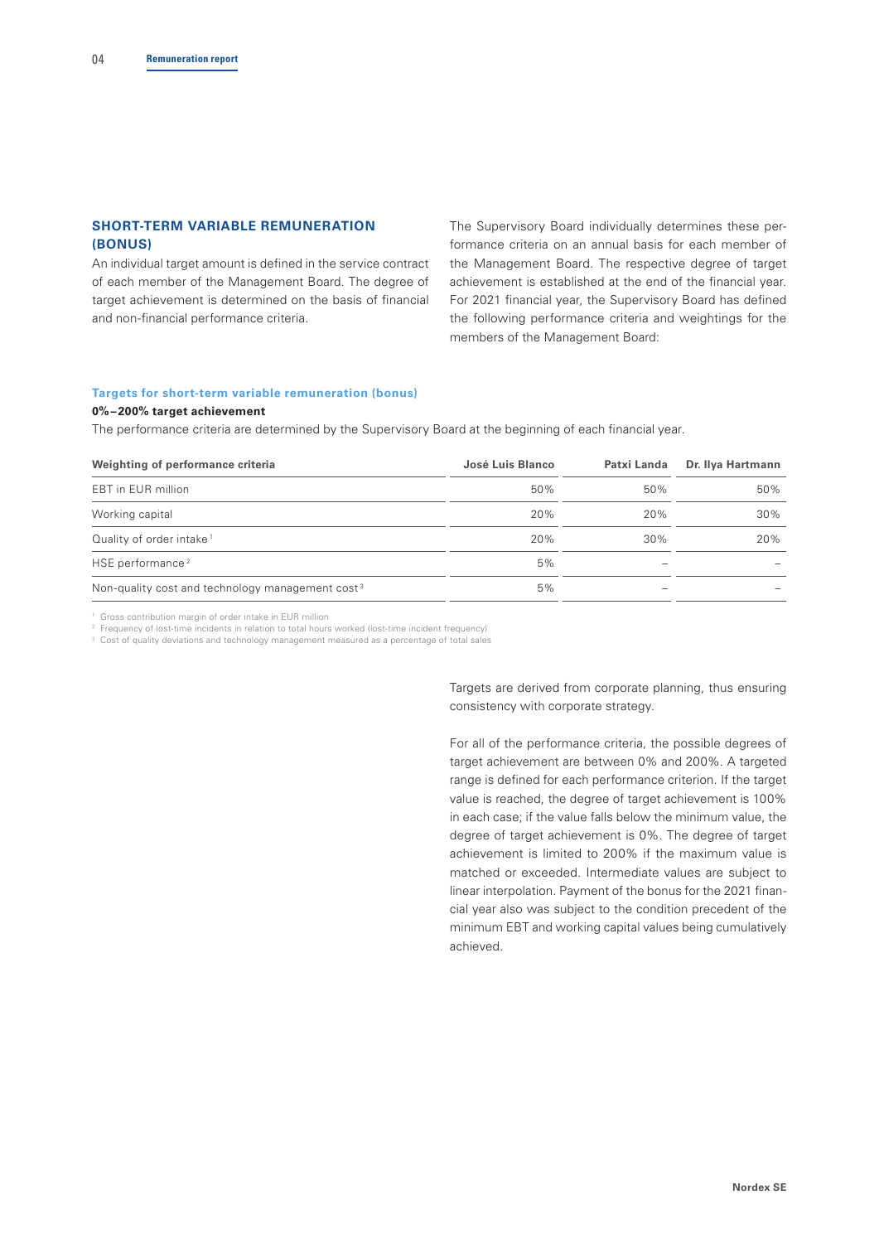## **SHORT-TERM VARIABLE REMUNERATION (BONUS)**

An individual target amount is defined in the service contract of each member of the Management Board. The degree of target achievement is determined on the basis of financial and non-financial performance criteria.

The Supervisory Board individually determines these performance criteria on an annual basis for each member of the Management Board. The respective degree of target achievement is established at the end of the financial year. For 2021 financial year, the Supervisory Board has defined the following performance criteria and weightings for the members of the Management Board:

# **Targets for short-term variable remuneration (bonus)**

## **0%–200% target achievement**

The performance criteria are determined by the Supervisory Board at the beginning of each financial year.

| Weighting of performance criteria                            | José Luis Blanco | Patxi Landa | Dr. Ilya Hartmann |
|--------------------------------------------------------------|------------------|-------------|-------------------|
| EBT in EUR million                                           | 50%              | 50%         | 50%               |
| Working capital                                              | 20%              | 20%         | 30%               |
| Quality of order intake <sup>1</sup>                         | 20%              | 30%         | 20%               |
| HSE performance <sup>2</sup>                                 | 5%               |             |                   |
| Non-quality cost and technology management cost <sup>3</sup> | 5%               |             |                   |

<sup>1</sup> Gross contribution margin of order intake in EUR million

<sup>2</sup> Frequency of lost-time incidents in relation to total hours worked (lost-time incident frequency)

<sup>3</sup> Cost of quality deviations and technology management measured as a percentage of total sales

Targets are derived from corporate planning, thus ensuring consistency with corporate strategy.

For all of the performance criteria, the possible degrees of target achievement are between 0% and 200%. A targeted range is defined for each performance criterion. If the target value is reached, the degree of target achievement is 100% in each case; if the value falls below the minimum value, the degree of target achievement is 0%. The degree of target achievement is limited to 200% if the maximum value is matched or exceeded. Intermediate values are subject to linear interpolation. Payment of the bonus for the 2021 financial year also was subject to the condition precedent of the minimum EBT and working capital values being cumulatively achieved.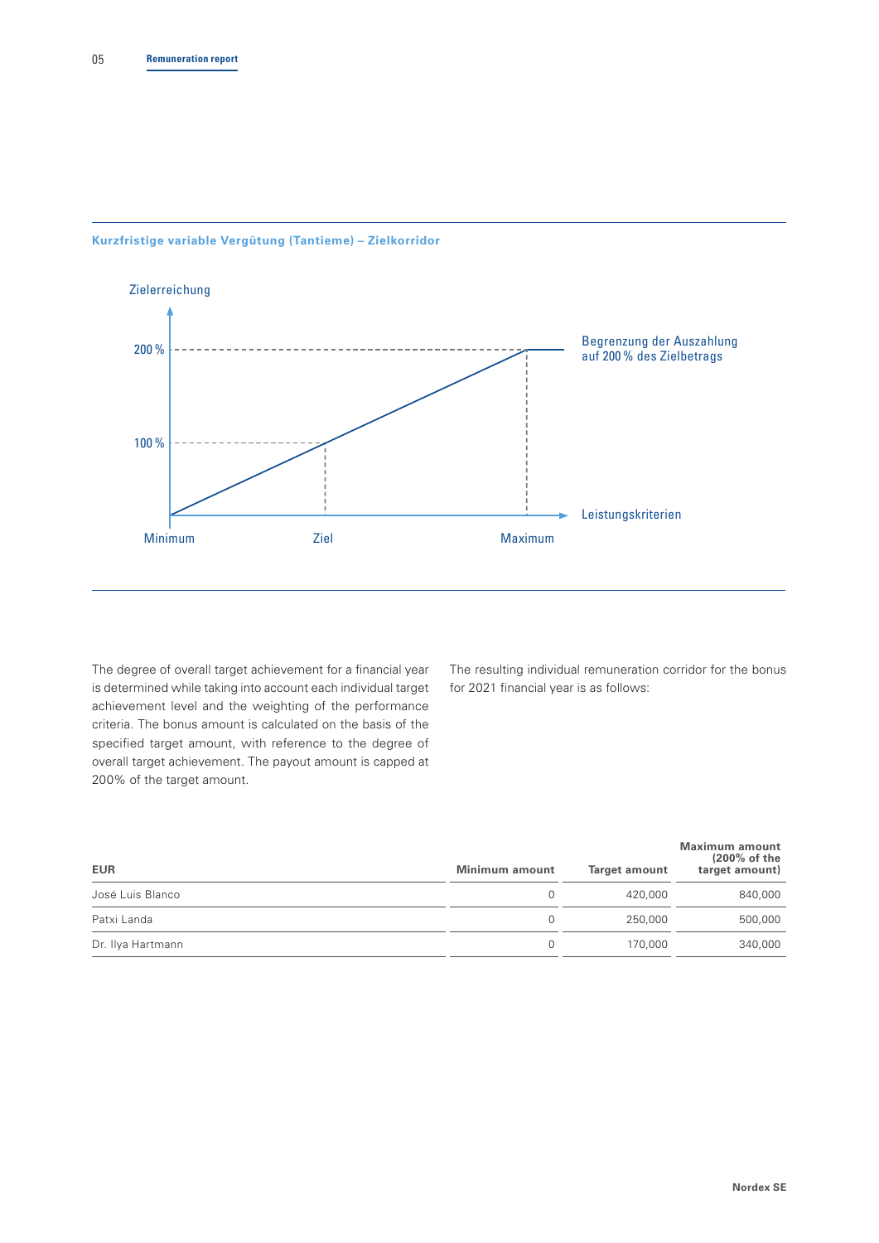#### **Kurzfristige variable Vergütung (Tantieme) – Zielkorridor**



The degree of overall target achievement for a financial year is determined while taking into account each individual target achievement level and the weighting of the performance criteria. The bonus amount is calculated on the basis of the specified target amount, with reference to the degree of overall target achievement. The payout amount is capped at 200% of the target amount.

The resulting individual remuneration corridor for the bonus for 2021 financial year is as follows:

| <b>EUR</b>        | <b>Minimum amount</b> | Target amount | <b>Maximum amount</b><br>$(200\% \text{ of the})$<br>target amount) |
|-------------------|-----------------------|---------------|---------------------------------------------------------------------|
| José Luis Blanco  |                       | 420,000       | 840,000                                                             |
| Patxi Landa       |                       | 250,000       | 500,000                                                             |
| Dr. Ilya Hartmann |                       | 170,000       | 340,000                                                             |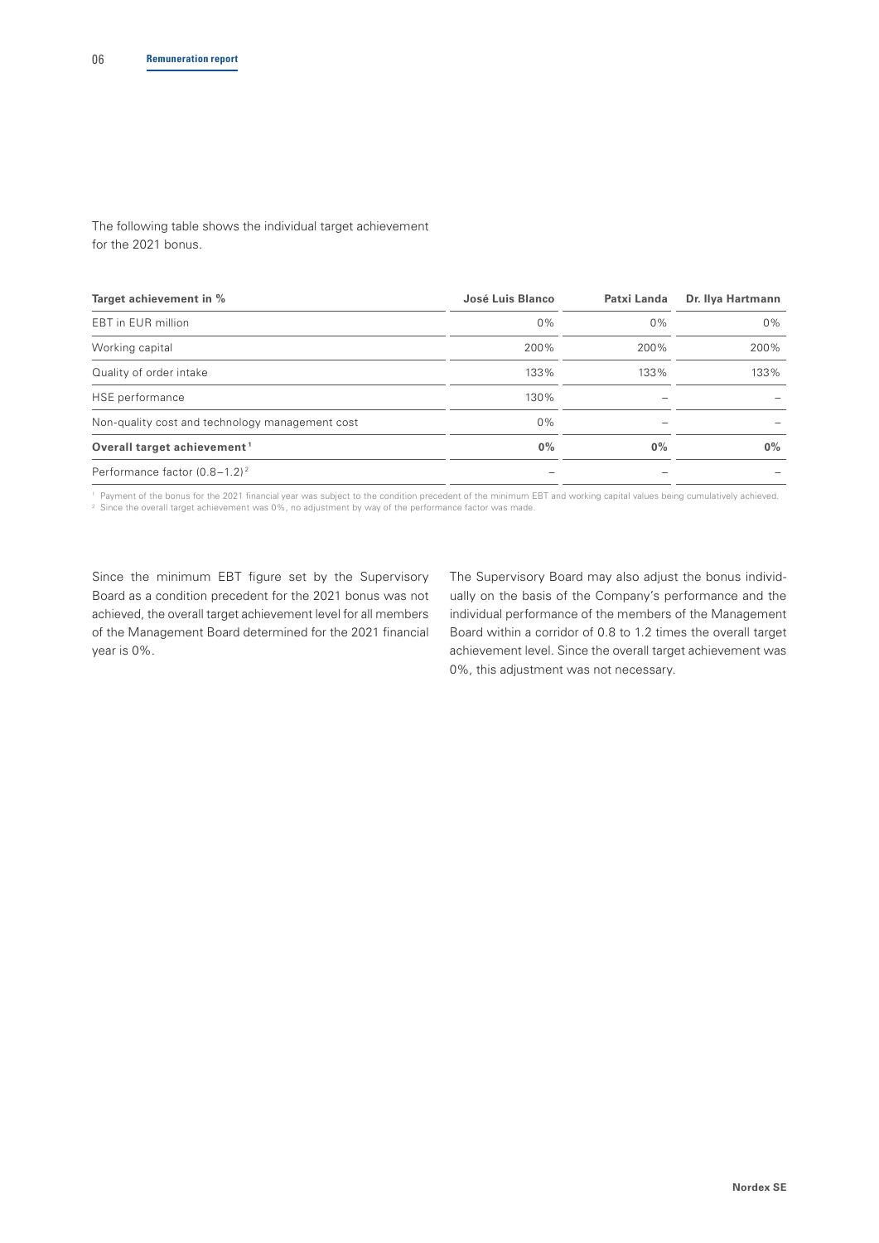The following table shows the individual target achievement for the 2021 bonus.

| Target achievement in %                         | José Luis Blanco | Patxi Landa | Dr. Ilya Hartmann |
|-------------------------------------------------|------------------|-------------|-------------------|
| EBT in EUR million                              | 0%               | 0%          | $0\%$             |
| Working capital                                 | 200%             | 200%        | 200%              |
| Quality of order intake                         | 133%             | 133%        | 133%              |
| HSE performance                                 | 130%             |             |                   |
| Non-quality cost and technology management cost | 0%               |             |                   |
| Overall target achievement <sup>1</sup>         | $0\%$            | $0\%$       | $0\%$             |
| Performance factor (0.8-1.2) <sup>2</sup>       |                  |             |                   |

1 Payment of the bonus for the 2021 financial year was subject to the condition precedent of the minimum EBT and working capital values being cumulatively achieved. <sup>2</sup> Since the overall target achievement was 0%, no adjustment by way of the performance factor was made.

Since the minimum EBT figure set by the Supervisory Board as a condition precedent for the 2021 bonus was not achieved, the overall target achievement level for all members of the Management Board determined for the 2021 financial year is 0%.

The Supervisory Board may also adjust the bonus individually on the basis of the Company's performance and the individual performance of the members of the Management Board within a corridor of 0.8 to 1.2 times the overall target achievement level. Since the overall target achievement was 0%, this adjustment was not necessary.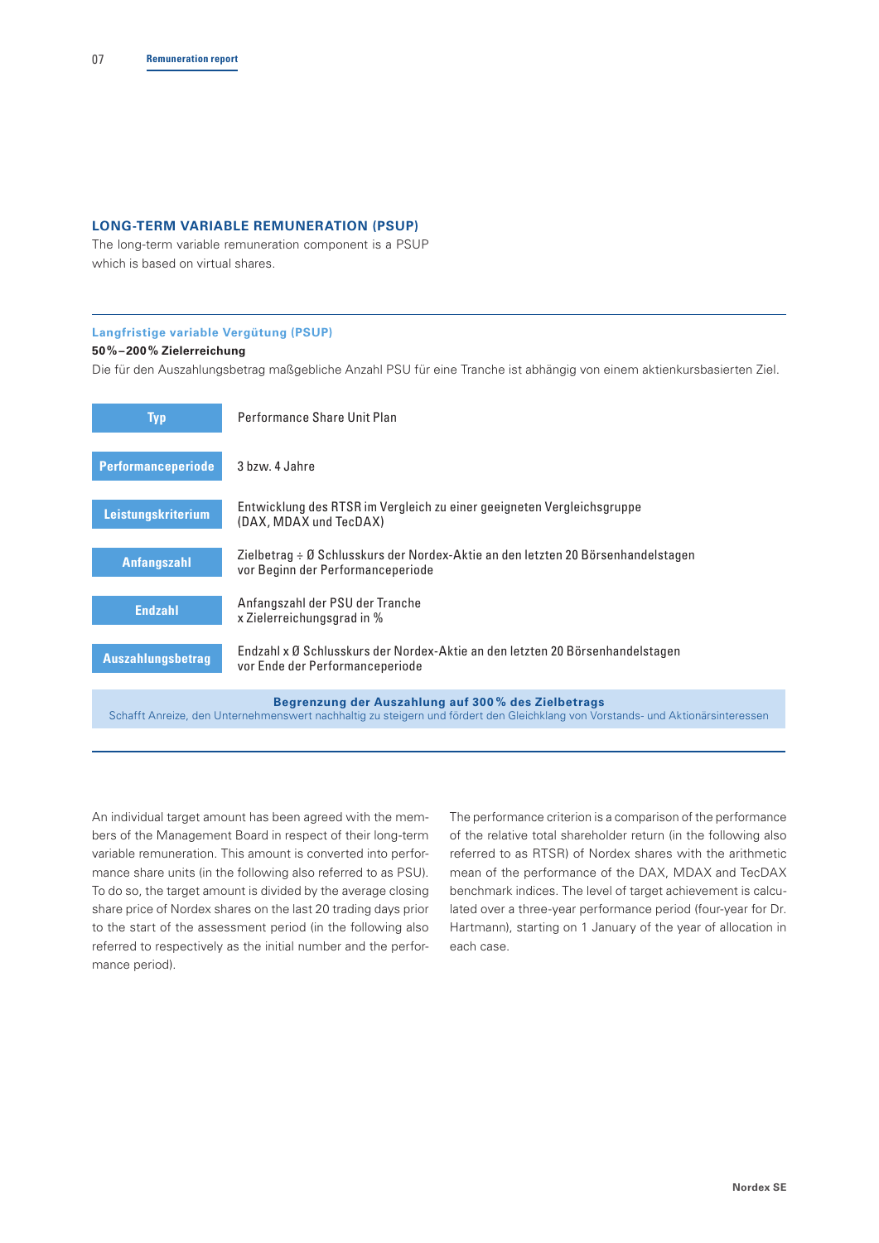## **LONG-TERM VARIABLE REMUNERATION (PSUP)**

The long-term variable remuneration component is a PSUP which is based on virtual shares.

## **Langfristige variable Vergütung (PSUP)**

## **50%–200% Zielerreichung**

Die für den Auszahlungsbetrag maßgebliche Anzahl PSU für eine Tranche ist abhängig von einem aktienkursbasierten Ziel.

| <b>Typ</b>                | Performance Share Unit Plan                                                                                                                                                           |
|---------------------------|---------------------------------------------------------------------------------------------------------------------------------------------------------------------------------------|
| <b>Performanceperiode</b> | 3 bzw. 4 Jahre                                                                                                                                                                        |
| Leistungskriterium        | Entwicklung des RTSR im Vergleich zu einer geeigneten Vergleichsgruppe<br>(DAX, MDAX und TecDAX)                                                                                      |
| Anfangszahl               | Zielbetrag ÷ Ø Schlusskurs der Nordex-Aktie an den letzten 20 Börsenhandelstagen<br>vor Beginn der Performanceperiode                                                                 |
| <b>Endzahl</b>            | Anfangszahl der PSU der Tranche<br>x Zielerreichungsgrad in %                                                                                                                         |
| <b>Auszahlungsbetrag</b>  | Endzahl x Ø Schlusskurs der Nordex-Aktie an den letzten 20 Börsenhandelstagen<br>vor Ende der Performanceperiode                                                                      |
|                           | Begrenzung der Auszahlung auf 300% des Zielbetrags<br>Schafft Anreize, den Unternehmenswert nachhaltig zu steigern und fördert den Gleichklang von Vorstands- und Aktionärsinteresser |

An individual target amount has been agreed with the members of the Management Board in respect of their long-term variable remuneration. This amount is converted into performance share units (in the following also referred to as PSU). To do so, the target amount is divided by the average closing share price of Nordex shares on the last 20 trading days prior to the start of the assessment period (in the following also referred to respectively as the initial number and the performance period).

The performance criterion is a comparison of the performance of the relative total shareholder return (in the following also referred to as RTSR) of Nordex shares with the arithmetic mean of the performance of the DAX, MDAX and TecDAX benchmark indices. The level of target achievement is calculated over a three-year performance period (four-year for Dr. Hartmann), starting on 1 January of the year of allocation in each case.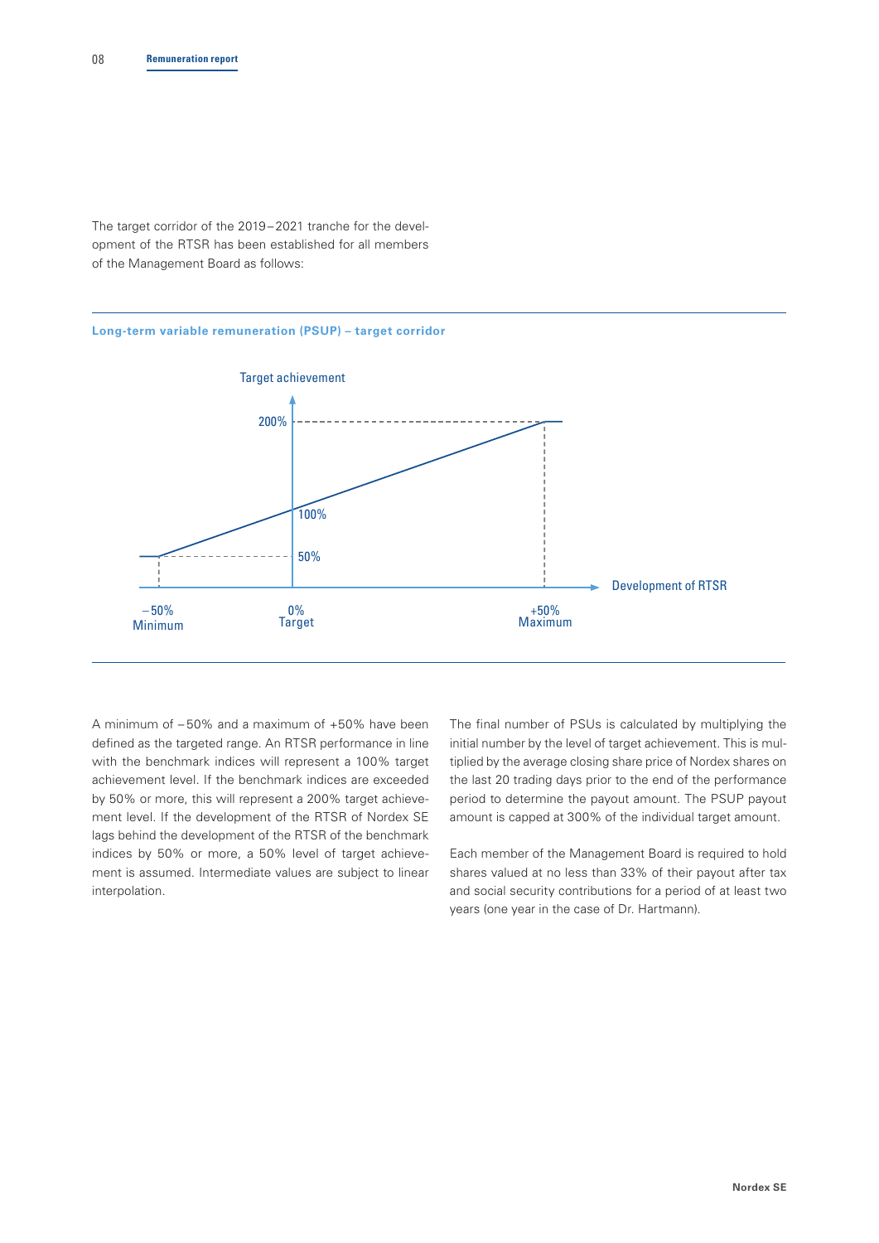The target corridor of the 2019– 2021 tranche for the development of the RTSR has been established for all members of the Management Board as follows:

#### **Long-term variable remuneration (PSUP) – target corridor**



A minimum of – 50% and a maximum of +50% have been defined as the targeted range. An RTSR performance in line with the benchmark indices will represent a 100% target achievement level. If the benchmark indices are exceeded by 50% or more, this will represent a 200% target achievement level. If the development of the RTSR of Nordex SE lags behind the development of the RTSR of the benchmark indices by 50% or more, a 50% level of target achievement is assumed. Intermediate values are subject to linear interpolation.

The final number of PSUs is calculated by multiplying the initial number by the level of target achievement. This is multiplied by the average closing share price of Nordex shares on the last 20 trading days prior to the end of the performance period to determine the payout amount. The PSUP payout amount is capped at 300% of the individual target amount.

Each member of the Management Board is required to hold shares valued at no less than 33% of their payout after tax and social security contributions for a period of at least two years (one year in the case of Dr. Hartmann).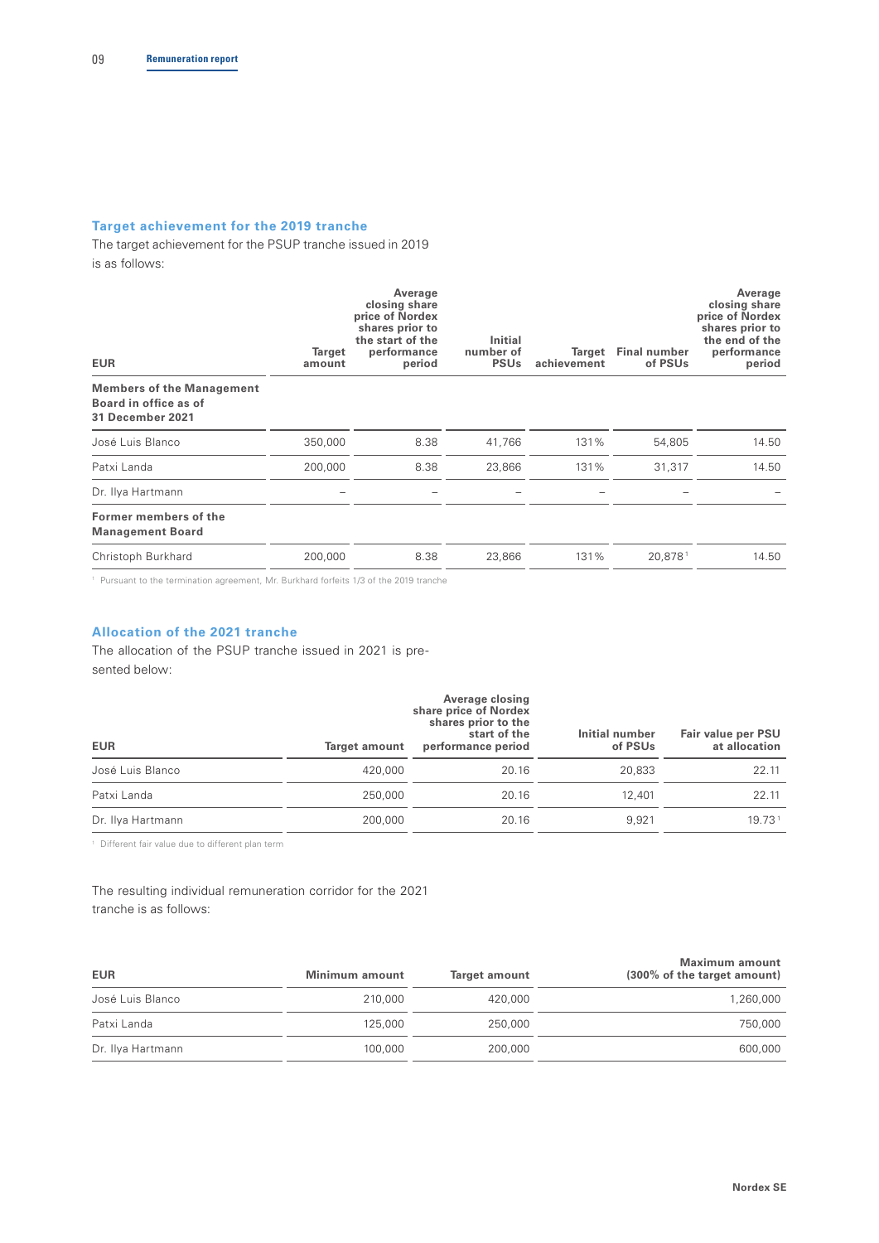## **Target achievement for the 2019 tranche**

The target achievement for the PSUP tranche issued in 2019 is as follows:

| <b>EUR</b>                                                                           | Target<br>amount | Average<br>closing share<br>price of Nordex<br>shares prior to<br>the start of the<br>performance<br>period | Initial<br>number of<br><b>PSU<sub>s</sub></b> | Target<br>achievement | Final number<br>of PSUs | Average<br>closing share<br>price of Nordex<br>shares prior to<br>the end of the<br>performance<br>period |
|--------------------------------------------------------------------------------------|------------------|-------------------------------------------------------------------------------------------------------------|------------------------------------------------|-----------------------|-------------------------|-----------------------------------------------------------------------------------------------------------|
| <b>Members of the Management</b><br>Board in office as of<br><b>31 December 2021</b> |                  |                                                                                                             |                                                |                       |                         |                                                                                                           |
| José Luis Blanco                                                                     | 350,000          | 8.38                                                                                                        | 41,766                                         | 131%                  | 54,805                  | 14.50                                                                                                     |
| Patxi Landa                                                                          | 200,000          | 8.38                                                                                                        | 23,866                                         | 131%                  | 31,317                  | 14.50                                                                                                     |
| Dr. Ilya Hartmann                                                                    |                  |                                                                                                             |                                                |                       |                         |                                                                                                           |
| Former members of the<br><b>Management Board</b>                                     |                  |                                                                                                             |                                                |                       |                         |                                                                                                           |
| Christoph Burkhard                                                                   | 200,000          | 8.38                                                                                                        | 23,866                                         | 131%                  | 20,8781                 | 14.50                                                                                                     |

<sup>1</sup> Pursuant to the termination agreement, Mr. Burkhard forfeits 1/3 of the 2019 tranche

## **Allocation of the 2021 tranche**

The allocation of the PSUP tranche issued in 2021 is presented below:

| <b>EUR</b>        | Target amount | Average closing<br>share price of Nordex<br>shares prior to the<br>start of the<br>performance period | Initial number<br>of PSUs | Fair value per PSU<br>at allocation |  |
|-------------------|---------------|-------------------------------------------------------------------------------------------------------|---------------------------|-------------------------------------|--|
| José Luis Blanco  | 420,000       | 20.16                                                                                                 | 20,833                    | 22.11                               |  |
| Patxi Landa       | 250,000       | 20.16                                                                                                 | 12,401                    | 22.11                               |  |
| Dr. Ilya Hartmann | 200,000       | 20.16                                                                                                 | 9.921                     | 19.731                              |  |

1 Different fair value due to different plan term

The resulting individual remuneration corridor for the 2021 tranche is as follows:

| <b>EUR</b>        | Minimum amount | Target amount | Maximum amount<br>(300% of the target amount) |
|-------------------|----------------|---------------|-----------------------------------------------|
| José Luis Blanco  | 210,000        | 420,000       | 1,260,000                                     |
| Patxi Landa       | 125,000        | 250,000       | 750,000                                       |
| Dr. Ilya Hartmann | 100,000        | 200,000       | 600,000                                       |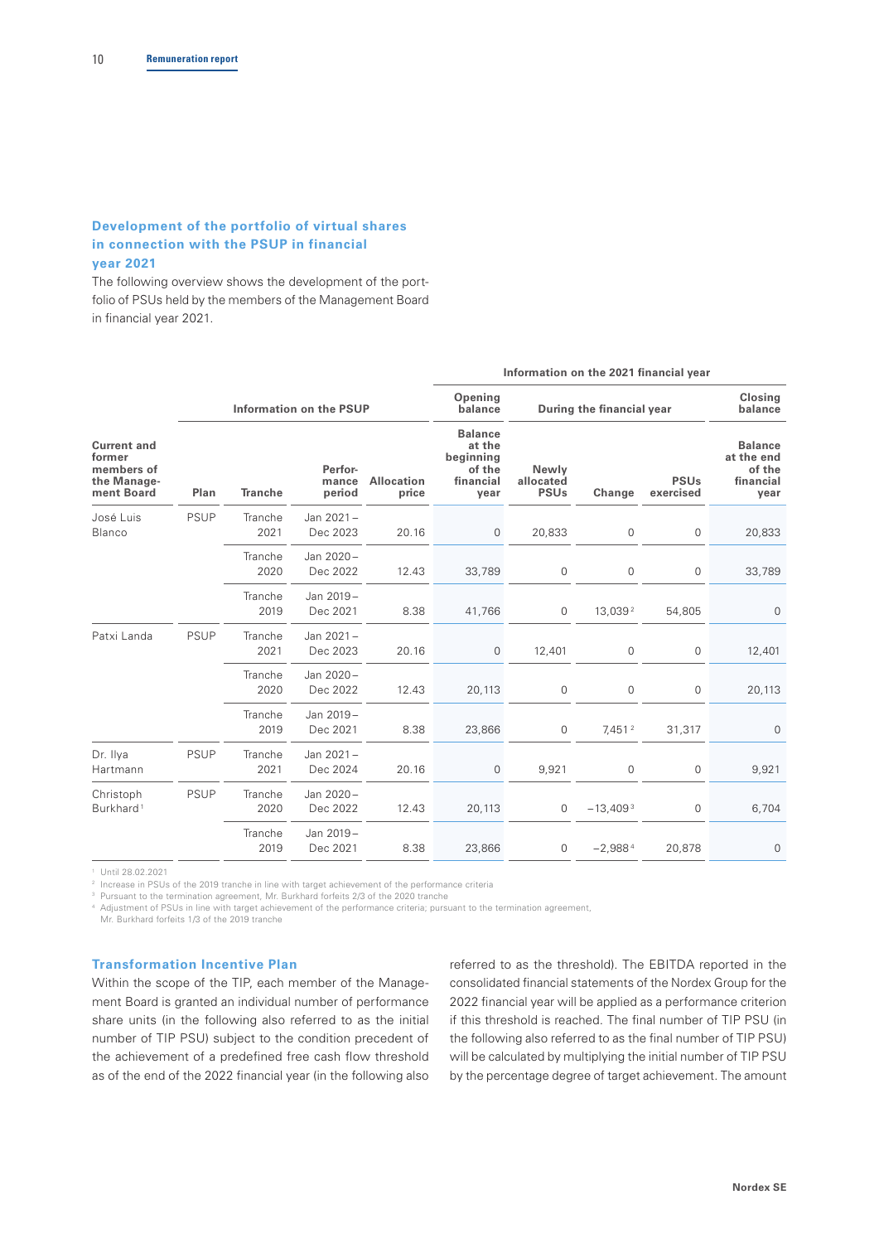## **Development of the portfolio of virtual shares in connection with the PSUP in financial year 2021**

The following overview shows the development of the portfolio of PSUs held by the members of the Management Board in financial year 2021.

|                                                                                 |                |                            |                            |                                                                      | Information on the 2021 financial year |                           |                          |                                                             |             |  |
|---------------------------------------------------------------------------------|----------------|----------------------------|----------------------------|----------------------------------------------------------------------|----------------------------------------|---------------------------|--------------------------|-------------------------------------------------------------|-------------|--|
|                                                                                 |                |                            | Information on the PSUP    |                                                                      | Opening<br>balance                     | During the financial year | Closing<br>balance       |                                                             |             |  |
| <b>Current and</b><br>former<br>members of<br>the Manage-<br>ment Board<br>Plan | <b>Tranche</b> | Perfor-<br>mance<br>period | <b>Allocation</b><br>price | <b>Balance</b><br>at the<br>beginning<br>of the<br>financial<br>year | Newly<br>allocated<br><b>PSUs</b>      | Change                    | <b>PSUs</b><br>exercised | <b>Balance</b><br>at the end<br>of the<br>financial<br>year |             |  |
| José Luis<br>Blanco                                                             | <b>PSUP</b>    | Tranche<br>2021            | Jan 2021-<br>Dec 2023      | 20.16                                                                | $\mathbf{0}$                           | 20,833                    | 0                        | 0                                                           | 20,833      |  |
|                                                                                 |                | Tranche<br>2020            | Jan 2020-<br>Dec 2022      | 12.43                                                                | 33,789                                 | 0                         | 0                        | 0                                                           | 33,789      |  |
|                                                                                 |                | Tranche<br>2019            | Jan 2019-<br>Dec 2021      | 8.38                                                                 | 41,766                                 | 0                         | 13,039 <sup>2</sup>      | 54,805                                                      | $\mathbf 0$ |  |
| Patxi Landa                                                                     | <b>PSUP</b>    | Tranche<br>2021            | Jan 2021-<br>Dec 2023      | 20.16                                                                | 0                                      | 12,401                    | 0                        | 0                                                           | 12,401      |  |
|                                                                                 |                | Tranche<br>2020            | Jan 2020-<br>Dec 2022      | 12.43                                                                | 20,113                                 | 0                         | 0                        | 0                                                           | 20,113      |  |
|                                                                                 |                | Tranche<br>2019            | Jan 2019-<br>Dec 2021      | 8.38                                                                 | 23,866                                 | 0                         | 7,451 <sup>2</sup>       | 31,317                                                      | $\mathbf 0$ |  |
| Dr. Ilya<br>Hartmann                                                            | <b>PSUP</b>    | Tranche<br>2021            | Jan 2021-<br>Dec 2024      | 20.16                                                                | 0                                      | 9,921                     | 0                        | 0                                                           | 9,921       |  |
| Christoph<br>Burkhard <sup>1</sup>                                              | <b>PSUP</b>    | Tranche<br>2020            | Jan 2020-<br>Dec 2022      | 12.43                                                                | 20,113                                 | $\mathbf{0}$              | $-13,4093$               | 0                                                           | 6,704       |  |
|                                                                                 |                | Tranche<br>2019            | Jan 2019-<br>Dec 2021      | 8.38                                                                 | 23,866                                 | 0                         | $-2,9884$                | 20,878                                                      | $\mathbf 0$ |  |

1 Until 28.02.2021

2 Increase in PSUs of the 2019 tranche in line with target achievement of the performance criteria

<sup>3</sup> Pursuant to the termination agreement, Mr. Burkhard forfeits 2/3 of the 2020 tranche

4 Adjustment of PSUs in line with target achievement of the performance criteria; pursuant to the termination agreement,

Mr. Burkhard forfeits 1/3 of the 2019 tranche

#### **Transformation Incentive Plan**

Within the scope of the TIP, each member of the Management Board is granted an individual number of performance share units (in the following also referred to as the initial number of TIP PSU) subject to the condition precedent of the achievement of a predefined free cash flow threshold as of the end of the 2022 financial year (in the following also

referred to as the threshold). The EBITDA reported in the consolidated financial statements of the Nordex Group for the 2022 financial year will be applied as a performance criterion if this threshold is reached. The final number of TIP PSU (in the following also referred to as the final number of TIP PSU) will be calculated by multiplying the initial number of TIP PSU by the percentage degree of target achievement. The amount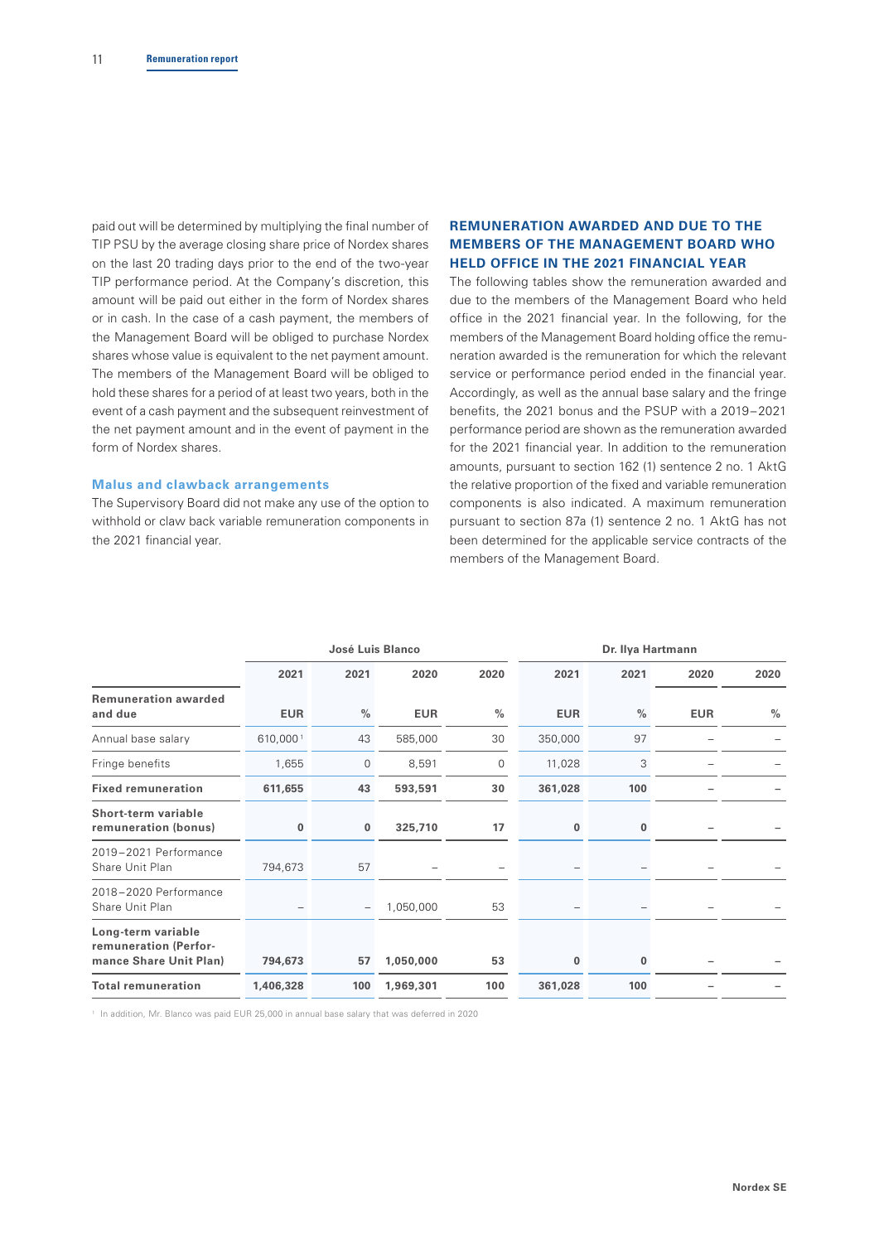paid out will be determined by multiplying the final number of TIP PSU by the average closing share price of Nordex shares on the last 20 trading days prior to the end of the two-year TIP performance period. At the Company's discretion, this amount will be paid out either in the form of Nordex shares or in cash. In the case of a cash payment, the members of the Management Board will be obliged to purchase Nordex shares whose value is equivalent to the net payment amount. The members of the Management Board will be obliged to hold these shares for a period of at least two years, both in the event of a cash payment and the subsequent reinvestment of the net payment amount and in the event of payment in the form of Nordex shares.

#### **Malus and clawback arrangements**

The Supervisory Board did not make any use of the option to withhold or claw back variable remuneration components in the 2021 financial year.

## **REMUNERATION AWARDED AND DUE TO THE MEMBERS OF THE MANAGEMENT BOARD WHO HELD OFFICE IN THE 2021 FINANCIAL YEAR**

The following tables show the remuneration awarded and due to the members of the Management Board who held office in the 2021 financial year. In the following, for the members of the Management Board holding office the remuneration awarded is the remuneration for which the relevant service or performance period ended in the financial year. Accordingly, as well as the annual base salary and the fringe benefits, the 2021 bonus and the PSUP with a 2019–2021 performance period are shown as the remuneration awarded for the 2021 financial year. In addition to the remuneration amounts, pursuant to section 162 (1) sentence 2 no. 1 AktG the relative proportion of the fixed and variable remuneration components is also indicated. A maximum remuneration pursuant to section 87a (1) sentence 2 no. 1 AktG has not been determined for the applicable service contracts of the members of the Management Board.

|                                                                       | José Luis Blanco |                          |            | Dr. Ilya Hartmann |              |               |            |               |
|-----------------------------------------------------------------------|------------------|--------------------------|------------|-------------------|--------------|---------------|------------|---------------|
|                                                                       | 2021             | 2021                     | 2020       | 2020              | 2021         | 2021          | 2020       | 2020          |
| <b>Remuneration awarded</b><br>and due                                | <b>EUR</b>       | $\frac{0}{0}$            | <b>EUR</b> | $\%$              | <b>EUR</b>   | $\frac{0}{0}$ | <b>EUR</b> | $\frac{0}{0}$ |
| Annual base salary                                                    | 610,0001         | 43                       | 585,000    | 30                | 350,000      | 97            |            |               |
| Fringe benefits                                                       | 1,655            | $\mathbf{0}$             | 8,591      | 0                 | 11,028       | 3             |            |               |
| <b>Fixed remuneration</b>                                             | 611,655          | 43                       | 593,591    | 30                | 361,028      | 100           |            |               |
| Short-term variable<br>remuneration (bonus)                           | $\bf{0}$         | $\bf{0}$                 | 325,710    | 17                | $\mathbf{0}$ | 0             |            |               |
| 2019-2021 Performance<br>Share Unit Plan                              | 794,673          | 57                       |            |                   |              |               |            |               |
| 2018-2020 Performance<br>Share Unit Plan                              |                  | $\overline{\phantom{m}}$ | 1,050,000  | 53                |              |               |            |               |
| Long-term variable<br>remuneration (Perfor-<br>mance Share Unit Plan) | 794,673          | 57                       | 1,050,000  | 53                | $\bf{0}$     | 0             |            |               |
| <b>Total remuneration</b>                                             | 1,406,328        | 100                      | 1,969,301  | 100               | 361,028      | 100           |            |               |

<sup>1</sup> In addition, Mr. Blanco was paid EUR 25,000 in annual base salary that was deferred in 2020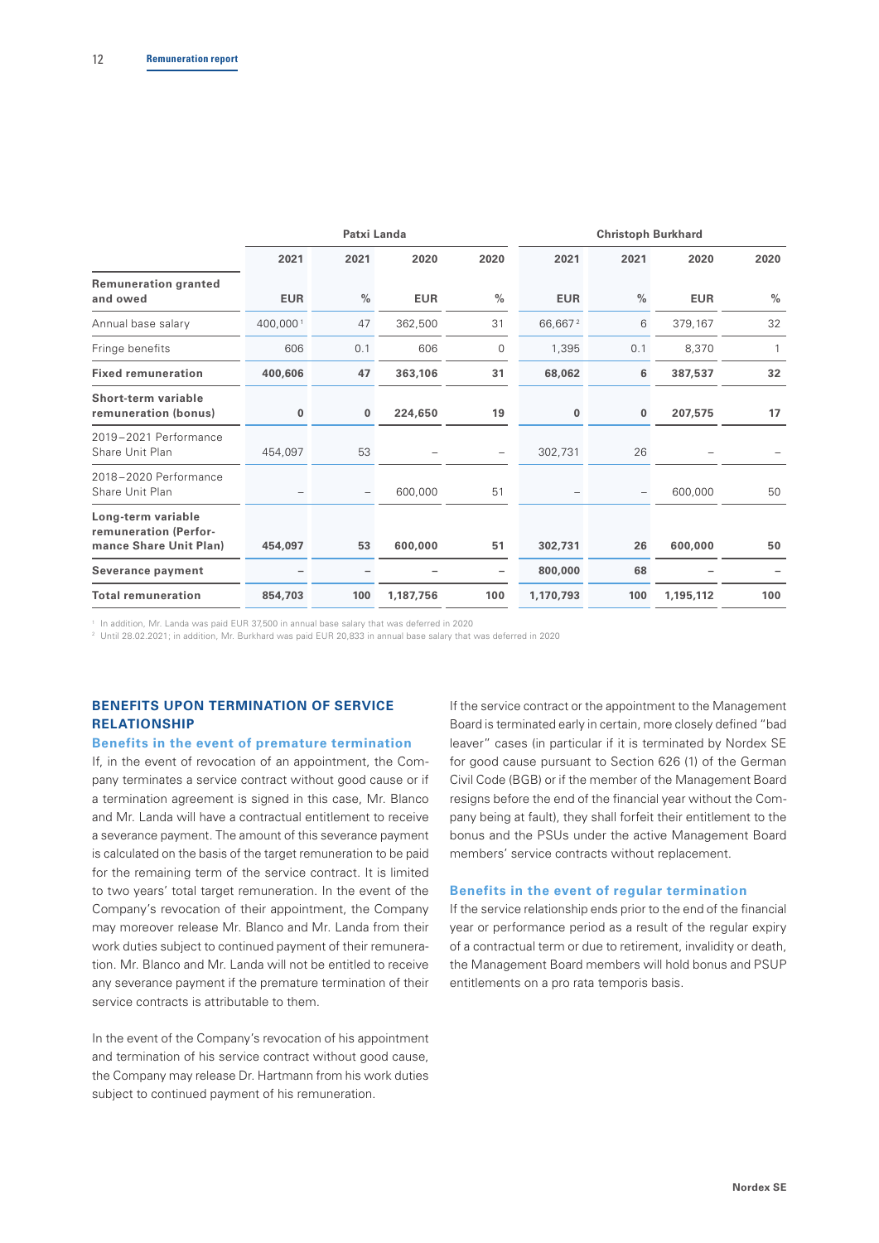|                                                                       | Patxi Landa |               |            | <b>Christoph Burkhard</b> |            |               |            |               |
|-----------------------------------------------------------------------|-------------|---------------|------------|---------------------------|------------|---------------|------------|---------------|
|                                                                       | 2021        | 2021          | 2020       | 2020                      | 2021       | 2021          | 2020       | 2020          |
| <b>Remuneration granted</b><br>and owed                               | <b>EUR</b>  | $\frac{0}{0}$ | <b>EUR</b> | $\frac{0}{0}$             | <b>EUR</b> | $\frac{0}{0}$ | <b>EUR</b> | $\frac{0}{0}$ |
| Annual base salary                                                    | 400,0001    | 47            | 362,500    | 31                        | 66,6672    | 6             | 379,167    | 32            |
| Fringe benefits                                                       | 606         | 0.1           | 606        | 0                         | 1,395      | 0.1           | 8,370      |               |
| <b>Fixed remuneration</b>                                             | 400,606     | 47            | 363,106    | 31                        | 68,062     | 6             | 387,537    | 32            |
| Short-term variable<br>remuneration (bonus)                           | $\bf{0}$    | $\mathbf{0}$  | 224,650    | 19                        | $\bf{0}$   | $\bf{0}$      | 207,575    | 17            |
| 2019-2021 Performance<br>Share Unit Plan                              | 454,097     | 53            |            | -                         | 302,731    | 26            |            |               |
| 2018-2020 Performance<br>Share Unit Plan                              |             |               | 600,000    | 51                        |            |               | 600,000    | 50            |
| Long-term variable<br>remuneration (Perfor-<br>mance Share Unit Plan) | 454,097     | 53            | 600,000    | 51                        | 302,731    | 26            | 600,000    | 50            |
| Severance payment                                                     |             |               |            | $\overline{\phantom{0}}$  | 800,000    | 68            |            |               |
| <b>Total remuneration</b>                                             | 854,703     | 100           | 1,187,756  | 100                       | 1,170,793  | 100           | 1,195,112  | 100           |

<sup>1</sup> In addition, Mr. Landa was paid EUR 37,500 in annual base salary that was deferred in 2020

<sup>2</sup> Until 28.02.2021; in addition, Mr. Burkhard was paid EUR 20,833 in annual base salary that was deferred in 2020

## **BENEFITS UPON TERMINATION OF SERVICE RELATIONSHIP**

#### **Benefits in the event of premature termination**

If, in the event of revocation of an appointment, the Company terminates a service contract without good cause or if a termination agreement is signed in this case, Mr. Blanco and Mr. Landa will have a contractual entitlement to receive a severance payment. The amount of this severance payment is calculated on the basis of the target remuneration to be paid for the remaining term of the service contract. It is limited to two years' total target remuneration. In the event of the Company's revocation of their appointment, the Company may moreover release Mr. Blanco and Mr. Landa from their work duties subject to continued payment of their remuneration. Mr. Blanco and Mr. Landa will not be entitled to receive any severance payment if the premature termination of their service contracts is attributable to them.

In the event of the Company's revocation of his appointment and termination of his service contract without good cause, the Company may release Dr. Hartmann from his work duties subject to continued payment of his remuneration.

If the service contract or the appointment to the Management Board is terminated early in certain, more closely defined "bad leaver" cases (in particular if it is terminated by Nordex SE for good cause pursuant to Section 626 (1) of the German Civil Code (BGB) or if the member of the Management Board resigns before the end of the financial year without the Company being at fault), they shall forfeit their entitlement to the bonus and the PSUs under the active Management Board members' service contracts without replacement.

#### **Benefits in the event of regular termination**

If the service relationship ends prior to the end of the financial year or performance period as a result of the regular expiry of a contractual term or due to retirement, invalidity or death, the Management Board members will hold bonus and PSUP entitlements on a pro rata temporis basis.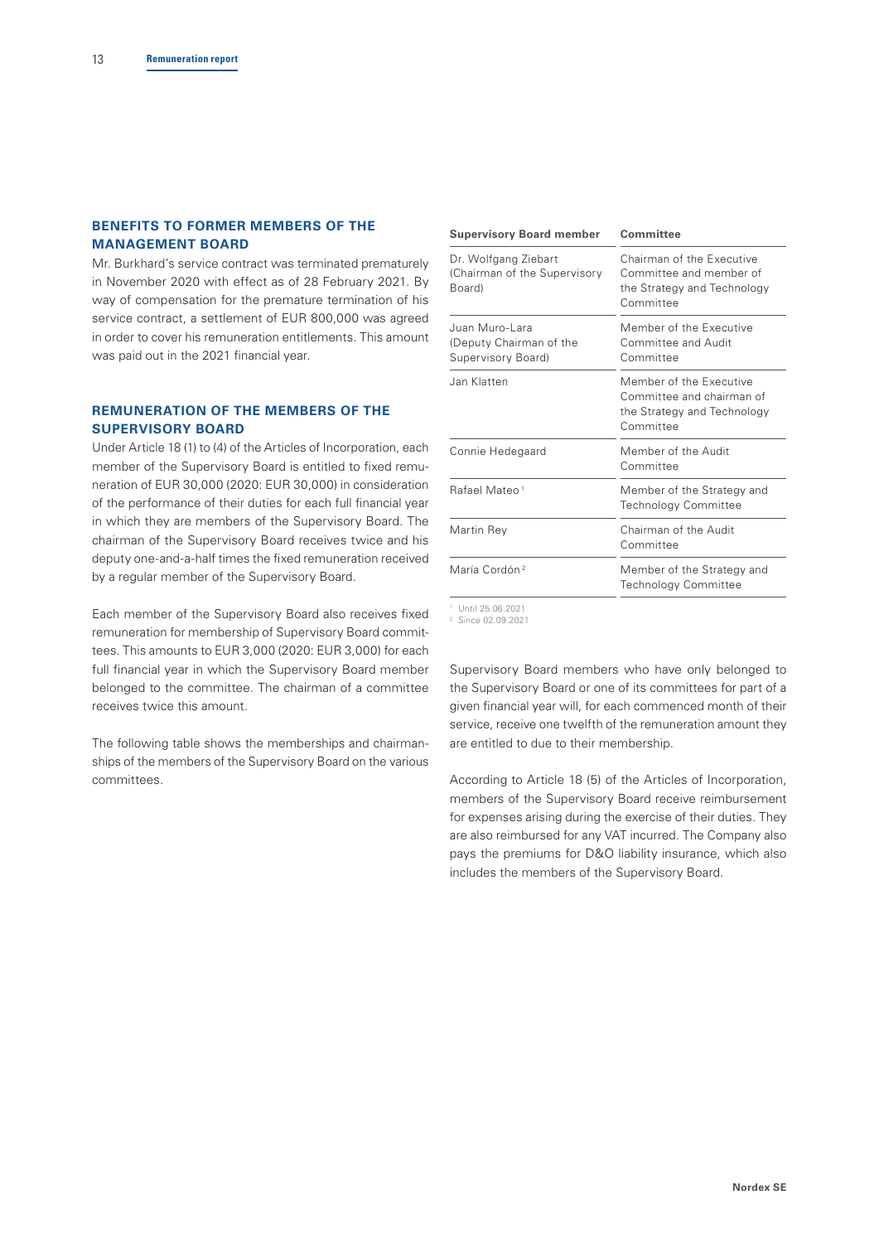## **BENEFITS TO FORMER MEMBERS OF THE MANAGEMENT BOARD**

Mr. Burkhard's service contract was terminated prematurely in November 2020 with effect as of 28 February 2021. By way of compensation for the premature termination of his service contract, a settlement of EUR 800,000 was agreed in order to cover his remuneration entitlements. This amount was paid out in the 2021 financial year.

## **REMUNERATION OF THE MEMBERS OF THE SUPERVISORY BOARD**

Under Article 18 (1) to (4) of the Articles of Incorporation, each member of the Supervisory Board is entitled to fixed remuneration of EUR 30,000 (2020: EUR 30,000) in consideration of the performance of their duties for each full financial year in which they are members of the Supervisory Board. The chairman of the Supervisory Board receives twice and his deputy one-and-a-half times the fixed remuneration received by a regular member of the Supervisory Board.

Each member of the Supervisory Board also receives fixed remuneration for membership of Supervisory Board committees. This amounts to EUR 3,000 (2020: EUR 3,000) for each full financial year in which the Supervisory Board member belonged to the committee. The chairman of a committee receives twice this amount.

The following table shows the memberships and chairmanships of the members of the Supervisory Board on the various committees.

| <b>Supervisory Board member</b>                                 | Committee                                                                                        |  |  |  |
|-----------------------------------------------------------------|--------------------------------------------------------------------------------------------------|--|--|--|
| Dr. Wolfgang Ziebart<br>(Chairman of the Supervisory<br>Board)  | Chairman of the Executive<br>Committee and member of<br>the Strategy and Technology<br>Committee |  |  |  |
| Juan Muro-Lara<br>(Deputy Chairman of the<br>Supervisory Board) | Member of the Executive<br>Committee and Audit<br>Committee                                      |  |  |  |
| Jan Klatten                                                     | Member of the Executive<br>Committee and chairman of<br>the Strategy and Technology<br>Committee |  |  |  |
| Connie Hedegaard                                                | Member of the Audit<br>Committee                                                                 |  |  |  |
| Rafael Mateo <sup>1</sup>                                       | Member of the Strategy and<br><b>Technology Committee</b>                                        |  |  |  |
| Martin Rey                                                      | Chairman of the Audit<br>Committee                                                               |  |  |  |
| María Cordón <sup>2</sup>                                       | Member of the Strategy and<br>Technology Committee                                               |  |  |  |
| <sup>1</sup> Until 25.06.2021                                   |                                                                                                  |  |  |  |

<sup>2</sup> Since 02.09.2021

Supervisory Board members who have only belonged to the Supervisory Board or one of its committees for part of a given financial year will, for each commenced month of their service, receive one twelfth of the remuneration amount they are entitled to due to their membership.

According to Article 18 (5) of the Articles of Incorporation, members of the Supervisory Board receive reimbursement for expenses arising during the exercise of their duties. They are also reimbursed for any VAT incurred. The Company also pays the premiums for D&O liability insurance, which also includes the members of the Supervisory Board.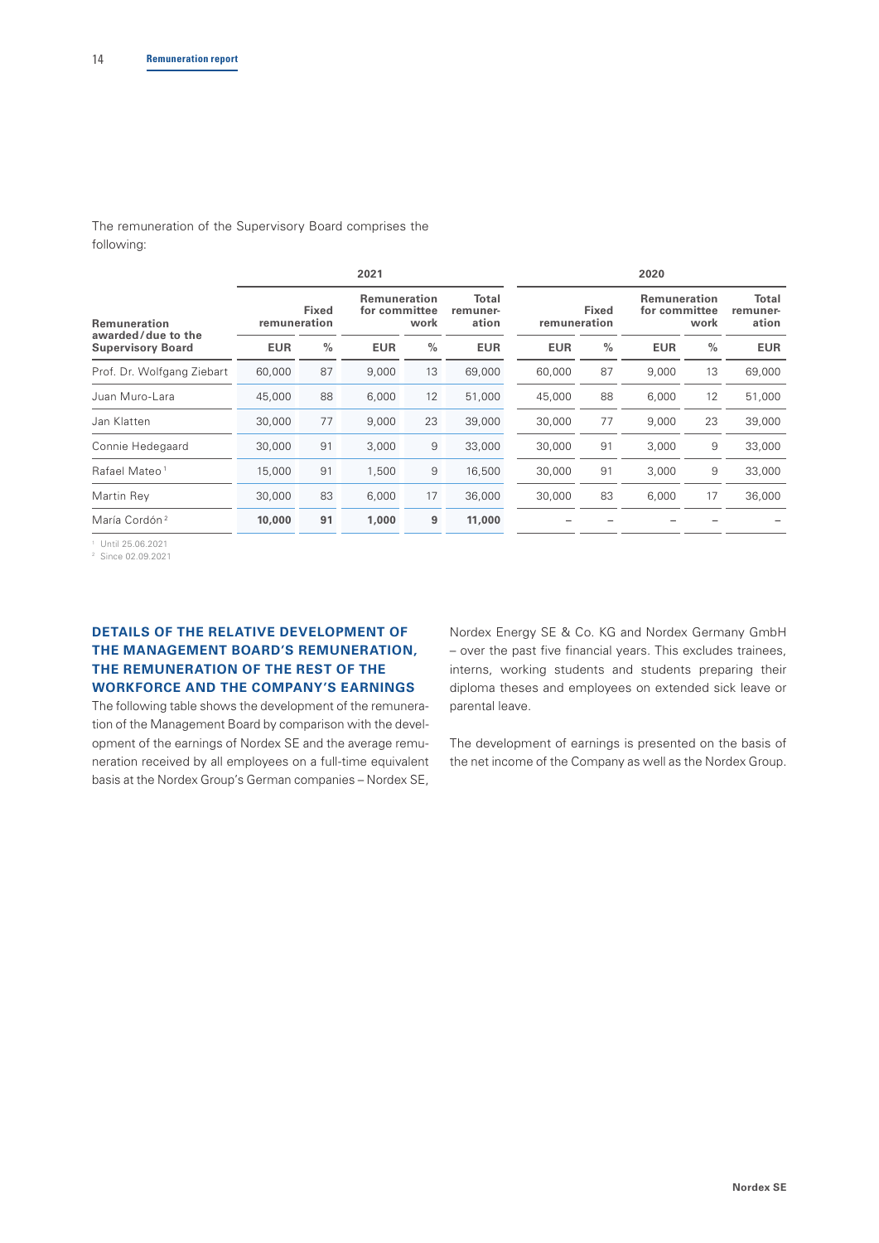The remuneration of the Supervisory Board comprises the following:

|                              | 2021          |                                              |      | 2020                       |            |                              |            |                                              |            |
|------------------------------|---------------|----------------------------------------------|------|----------------------------|------------|------------------------------|------------|----------------------------------------------|------------|
| <b>Fixed</b><br>remuneration |               | <b>Remuneration</b><br>for committee<br>work |      | Total<br>remuner-<br>ation |            | <b>Fixed</b><br>remuneration |            | <b>Remuneration</b><br>for committee<br>work |            |
| <b>EUR</b>                   | $\frac{0}{0}$ | <b>EUR</b>                                   | $\%$ | <b>EUR</b>                 | <b>EUR</b> | $\frac{0}{0}$                | <b>EUR</b> | $\frac{0}{0}$                                | <b>EUR</b> |
| 60,000                       | 87            | 9,000                                        | 13   | 69,000                     | 60,000     | 87                           | 9,000      | 13                                           | 69,000     |
| 45,000                       | 88            | 6,000                                        | 12   | 51,000                     | 45,000     | 88                           | 6,000      | 12                                           | 51,000     |
| 30,000                       | 77            | 9,000                                        | 23   | 39,000                     | 30,000     | 77                           | 9,000      | 23                                           | 39,000     |
| 30,000                       | 91            | 3,000                                        | 9    | 33,000                     | 30,000     | 91                           | 3,000      | 9                                            | 33,000     |
| 15,000                       | 91            | 1,500                                        | 9    | 16,500                     | 30,000     | 91                           | 3,000      | 9                                            | 33,000     |
| 30,000                       | 83            | 6,000                                        | 17   | 36,000                     | 30,000     | 83                           | 6,000      | 17                                           | 36,000     |
| 10,000                       | 91            | 1,000                                        | 9    | 11,000                     |            |                              |            |                                              |            |
|                              |               |                                              |      |                            |            |                              |            |                                              |            |

<sup>1</sup> Until 25.06.2021

<sup>2</sup> Since 02.09.2021

## **DETAILS OF THE RELATIVE DEVELOPMENT OF THE MANAGEMENT BOARD'S REMUNERATION, THE REMUNERATION OF THE REST OF THE WORKFORCE AND THE COMPANY'S EARNINGS**

The following table shows the development of the remuneration of the Management Board by comparison with the development of the earnings of Nordex SE and the average remuneration received by all employees on a full-time equivalent basis at the Nordex Group's German companies – Nordex SE,

Nordex Energy SE & Co. KG and Nordex Germany GmbH – over the past five financial years. This excludes trainees, interns, working students and students preparing their diploma theses and employees on extended sick leave or parental leave.

The development of earnings is presented on the basis of the net income of the Company as well as the Nordex Group.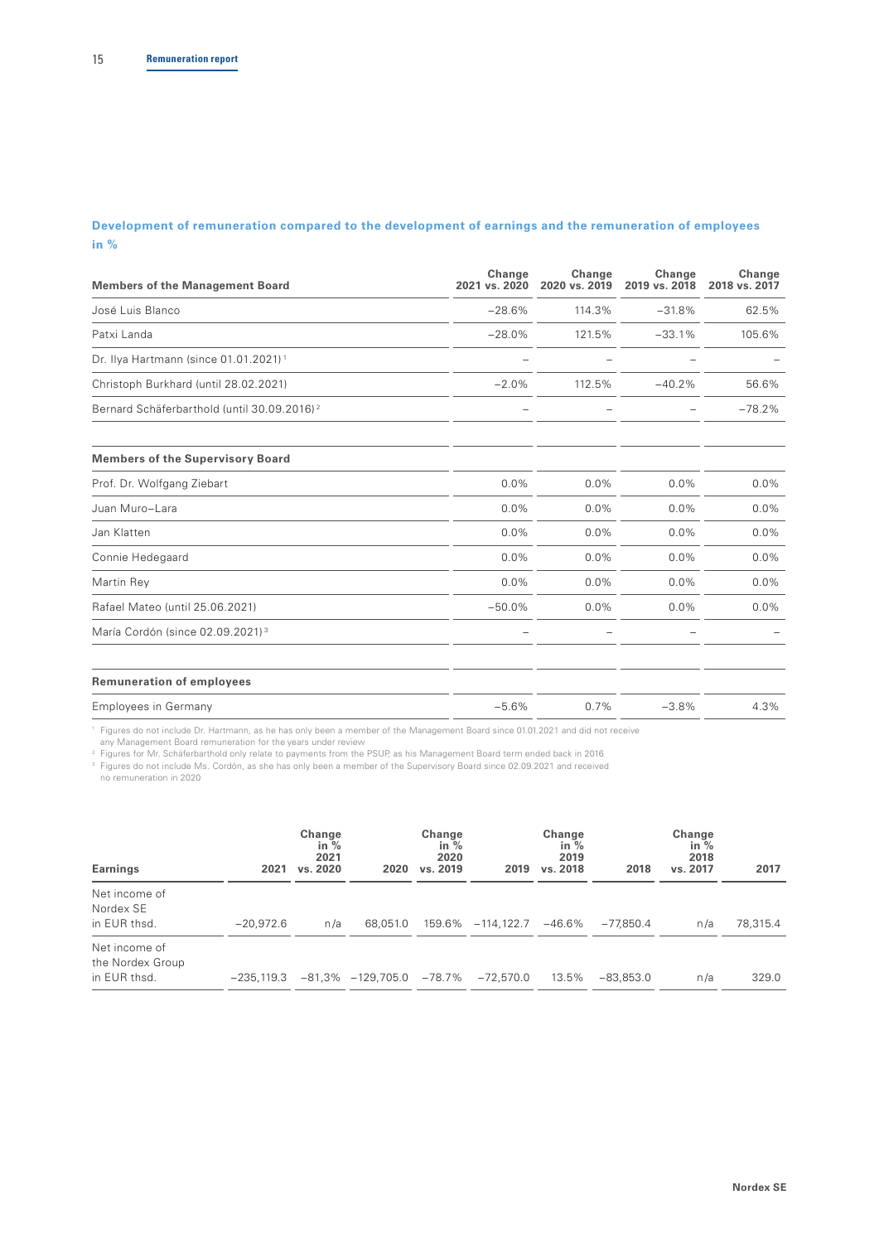## **Development of remuneration compared to the development of earnings and the remuneration of employees in %**

| <b>Members of the Management Board</b>                  | Change<br>2021 vs. 2020 | Change<br>2020 vs. 2019 | Change<br>2019 vs. 2018 | Change<br>2018 vs. 2017 |
|---------------------------------------------------------|-------------------------|-------------------------|-------------------------|-------------------------|
| José Luis Blanco                                        | $-28.6%$                | 114.3%                  | $-31.8%$                | 62.5%                   |
| Patxi Landa                                             | $-28.0%$                | 121.5%                  | $-33.1%$                | 105.6%                  |
| Dr. Ilya Hartmann (since 01.01.2021) <sup>1</sup>       |                         |                         |                         |                         |
| Christoph Burkhard (until 28.02.2021)                   | $-2.0%$                 | 112.5%                  | $-40.2%$                | 56.6%                   |
| Bernard Schäferbarthold (until 30.09.2016) <sup>2</sup> |                         |                         |                         | $-78.2%$                |
| <b>Members of the Supervisory Board</b>                 |                         |                         |                         |                         |
| Prof. Dr. Wolfgang Ziebart                              | 0.0%                    | 0.0%                    | 0.0%                    | $0.0\%$                 |
| Juan Muro-Lara                                          | 0.0%                    | 0.0%                    | 0.0%                    | $0.0\%$                 |
| Jan Klatten                                             | 0.0%                    | 0.0%                    | 0.0%                    | 0.0%                    |
| Connie Hedegaard                                        | 0.0%                    | 0.0%                    | 0.0%                    | 0.0%                    |
| Martin Rey                                              | 0.0%                    | 0.0%                    | 0.0%                    | 0.0%                    |
| Rafael Mateo (until 25.06.2021)                         | $-50.0%$                | 0.0%                    | 0.0%                    | $0.0\%$                 |
| María Cordón (since 02.09.2021) <sup>3</sup>            |                         |                         |                         |                         |
| <b>Remuneration of employees</b>                        |                         |                         |                         |                         |
| <b>Employees in Germany</b>                             | $-5.6%$                 | 0.7%                    | $-3.8%$                 | 4.3%                    |

1 Figures do not include Dr. Hartmann, as he has only been a member of the Management Board since 01.01.2021 and did not receive any Management Board remuneration for the years under review

<sup>2</sup> Figures for Mr. Schäferbarthold only relate to payments from the PSUP, as his Management Board term ended back in 2016

<sup>3</sup> Figures do not include Ms. Cordón, as she has only been a member of the Supervisory Board since 02.09.2021 and received no remuneration in 2020

| Earnings                                          | 2021         | Change<br>in $%$<br>2021<br>vs. 2020 | 2020                         | Change<br>in $\%$<br>2020<br>vs. 2019 | 2019          | Change<br>in $%$<br>2019<br>vs. 2018 | 2018        | Change<br>in $%$<br>2018<br>vs. 2017 | 2017     |
|---------------------------------------------------|--------------|--------------------------------------|------------------------------|---------------------------------------|---------------|--------------------------------------|-------------|--------------------------------------|----------|
| Net income of<br>Nordex SE<br>in EUR thsd.        | $-20.972.6$  | n/a                                  | 68,051.0                     | 159.6%                                | $-114, 122.7$ | $-46.6\%$                            | $-77.850.4$ | n/a                                  | 78,315.4 |
| Net income of<br>the Nordex Group<br>in EUR thsd. | $-235.119.3$ |                                      | $-81,3\% -129,705.0 -78.7\%$ |                                       | $-72.570.0$   | 13.5%                                | $-83,853.0$ | n/a                                  | 329.0    |